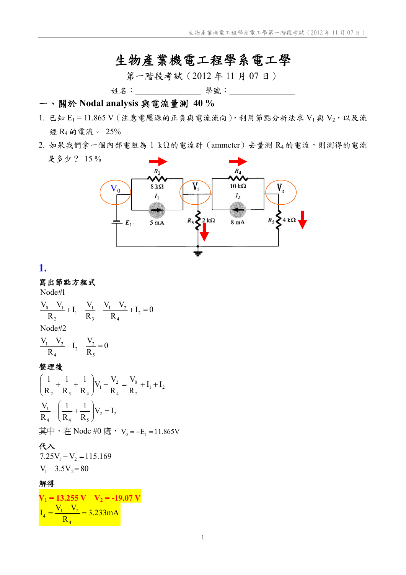# 生物產業機電工程學系電工學

第一階段考試(2012 年 11 月 07 日)

姓名: 學號:

# 一、關於 **Nodal analysis** 與電流量測 **40 %**

- 1. 已知  $E_1 = 11.865$  V (注意電壓源的正負與電流流向), 利用節點分析法求  $V_1$ 與  $V_2$ , 以及流 經 R4 的電流。 25%
- $2.$  如果我們拿一個內部電阻為 1 kΩ的電流計 (ammeter) 去量測  $R_4$ 的電流,則測得的電流 是多少? 15 %



# **1.**

### 寫出節點方程式

Node#1

$$
\frac{V_0 - V_1}{R_2} + I_1 - \frac{V_1}{R_3} - \frac{V_1 - V_2}{R_4} + I_2 = 0
$$

Node#2

$$
\frac{V_1 - V_2}{R_4} - I_2 - \frac{V_2}{R_5} = 0
$$

#### 整理後

$$
\left(\frac{1}{R_2} + \frac{1}{R_3} + \frac{1}{R_4}\right) V_1 - \frac{V_2}{R_4} = \frac{V_0}{R_2} + I_1 + I_2
$$
  

$$
\frac{V_1}{R_4} - \left(\frac{1}{R_4} + \frac{1}{R_5}\right) V_2 = I_2
$$

其中, 在 Node #0 處,  $V_0 = -E_1 = 11.865V$ 

### 代入

 $V_1 - 3.5V_2 = 80$  $7.25V_1 - V_2 = 115.169$ 

#### 解得

 $V_1 = 13.255 \text{ V}$   $V_2 = -19.07 \text{ V}$ 3.233mA R  $I_4 = \frac{V_1 - V_2}{R_1} =$ 4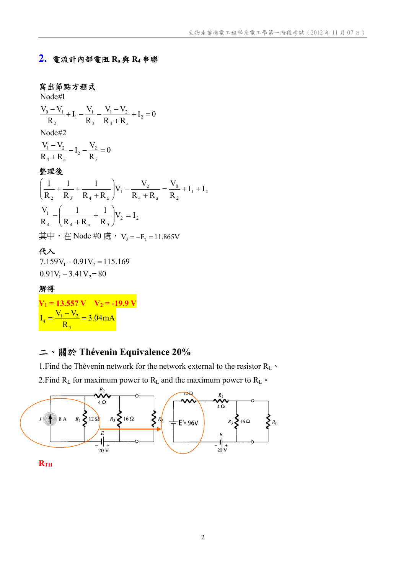### **2.** 電流計內部電阻 **Ra** 與 **R4** 串聯

### 寫出節點方程式

Node#1

$$
\frac{V_0 - V_1}{R_2} + I_1 - \frac{V_1}{R_3} - \frac{V_1 - V_2}{R_4 + R_3} + I_2 = 0
$$

Node#2

$$
\frac{V_1 - V_2}{R_4 + R_a} - I_2 - \frac{V_2}{R_5} = 0
$$

整理後

$$
\left(\frac{1}{R_2} + \frac{1}{R_3} + \frac{1}{R_4 + R_a}\right) V_1 - \frac{V_2}{R_4 + R_a} = \frac{V_0}{R_2} + I_1 + I_2
$$
  

$$
\frac{V_1}{R_4} - \left(\frac{1}{R_4 + R_a} + \frac{1}{R_5}\right) V_2 = I_2
$$

其中, 在 Node #0 處,  $V_0 = -E_1 = 11.865V$ 

# 代入

 $0.91V_1 - 3.41V_2 = 80$  $7.159V_1 - 0.91V_2 = 115.169$ 

### 解得

$$
V_1 = 13.557 \text{ V} \quad V_2 = -19.9 \text{ V}
$$

$$
I_4 = \frac{V_1 - V_2}{R_4} = 3.04 \text{ mA}
$$

# 二、關於 **Thévenin Equivalence 20%**

1.Find the Thévenin network for the network external to the resistor RL。

2.Find  $R_L$  for maximum power to  $R_L$  and the maximum power to  $R_L$   $\circ$ 



 $R_{TH}$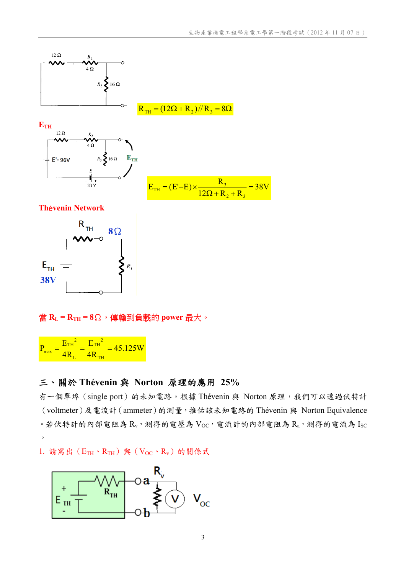

 $R_{TH} = (12\Omega + R_2)/R_3 = 8\Omega$ 





 $38$  $12\Omega + R_2 + R_3$  $E_{TH} = (E'-E) \times$  $\mu = (E'-E) \times \frac{R_3}{12\Omega + R_2 + R_3} =$ 

#### **Th**é**venin Network**



### $\dot{\mathbf{g}}$  **R**<sub>L</sub> = **R**<sub>TH</sub> = 8Ω, 傅輸到負載的 power 最大。

|                  | <b>CTH</b>      | <b>ETH</b>          | $= 45.125W$ |
|------------------|-----------------|---------------------|-------------|
| $T_{\text{max}}$ | AR <sub>r</sub> | $-4R$ <sub>TH</sub> |             |

### 三、關於 **Thévenin** 與 **Norton** 原理的應用 **25%**

有一個單埠 (single port) 的未知電路。根據 Thévenin 與 Norton 原理,我們可以透過伏特計 (voltmeter)及電流計(ammeter)的測量,推估該未知電路的 Thévenin 與 Norton Equivalence 。若伏特計的內部電阻為  $R_v$ , 測得的電壓為  $V_{OC}$ , 電流計的內部電阻為  $R_a$ , 測得的電流為  $I_{SC}$  $\circ$ 

### 1. 請寫出  $(E_{TH} \cdot R_{TH})$ 與  $(V_{OC} \cdot R_v)$  的關係式

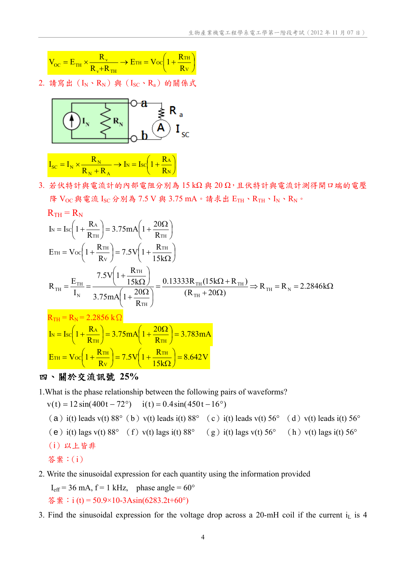$$
V_{OC} = E_{TH} \times \frac{R_v}{R_v + R_{TH}} \to E_{TH} = V_{OC} \left(1 + \frac{R_{TH}}{R_v}\right)
$$

2. 請寫出  $(I_N \cdot R_N)$  與  $(I_{SC} \cdot R_a)$  的關係式

$$
\overbrace{\left(\begin{matrix} 0 & 1 \\ 0 & 1 \end{matrix}\right)}^{0} \xrightarrow{\mathbf{R}_N} \overbrace{\left(\begin{matrix} 0 \\ 0 \end{matrix}\right)}^{0} \mathbf{1}_{sc}
$$

$$
I_{SC} = I_N \times \frac{R_N}{R_N + R_A} \rightarrow I_N = I_{SC} \left( 1 + \frac{R_A}{R_N} \right)
$$

 $3.$  若伏特計與電流計的內部電阻分別為  $15 kΩ$ 與  $20 Ω$ , 且伏特計與電流計測得開口端的電壓 降 Voc 與電流 Isc 分別為 7.5 V 與 3.75 mA。請求出 ETH、RTH、IN、RN。

$$
R_{TH} = R_N
$$
  
\n
$$
I_N = Isc\left(1 + \frac{R_A}{R_{TH}}\right) = 3.75mA\left(1 + \frac{20\Omega}{R_{TH}}\right)
$$
  
\n
$$
E_{TH} = Voc\left(1 + \frac{R_{TH}}{R_V}\right) = 7.5V\left(1 + \frac{R_{TH}}{15k\Omega}\right)
$$
  
\n
$$
R_{TH} = \frac{E_{TH}}{I_N} = \frac{7.5V\left(1 + \frac{R_{TH}}{15k\Omega}\right)}{3.75mA\left(1 + \frac{20\Omega}{R_{TH}}\right)} = \frac{0.13333R_{TH}(15k\Omega + R_{TH})}{(R_{TH} + 20\Omega)} \Rightarrow R_{TH} = R_N = 2.2846k\Omega
$$
  
\n
$$
R_{TH} = R_N = 2.2856 k\Omega
$$
  
\n
$$
I_N = Isc\left(1 + \frac{R_A}{R_{TH}}\right) = 3.75mA\left(1 + \frac{20\Omega}{R_{TH}}\right) = 3.783mA
$$
  
\n
$$
E_{TH} = Voc\left(1 + \frac{R_{TH}}{R_V}\right) = 7.5V\left(1 + \frac{R_{TH}}{15k\Omega}\right) = 8.642 V
$$

#### 四、關於交流訊號 **25%**

1.What is the phase relationship between the following pairs of waveforms?  $v(x) = 12 + (400t - 720) + (120t - 0.4t + (450t - 160))$ 

\n
$$
v(t) = 12 \sin(400t - 72^\circ) \quad \text{if } t = 0.4 \sin(450t - 16^\circ)
$$
\n

\n\n (a)  $i(t) \text{ leads } v(t) \, 88^\circ \, (b) \, v(t) \text{ leads } i(t) \, 88^\circ \, (c) \, i(t) \text{ leads } v(t) \, 56^\circ \, (d) \, v(t) \text{ leads } i(t) \, 56^\circ$ \n

\n\n (e)  $i(t) \, \text{lags } v(t) \, 88^\circ \, (f) \, v(t) \, \text{lags } i(t) \, 88^\circ \, (g) \, i(t) \, \text{lags } v(t) \, 56^\circ \, (h) \, v(t) \, \text{lags } i(t) \, 56^\circ$ \n

\n\n (i)  $\mathcal{R} \pm \mathcal{B} \neq \mathcal{B}$ \n

\n\n  $\mathcal{S} \times \mathcal{S} \cdot \mathcal{S} \cdot \mathcal{S} \cdot \mathcal{S} \cdot \mathcal{S} \cdot \mathcal{S} \cdot \mathcal{S} \cdot \mathcal{S} \cdot \mathcal{S} \cdot \mathcal{S} \cdot \mathcal{S} \cdot \mathcal{S} \cdot \mathcal{S} \cdot \mathcal{S} \cdot \mathcal{S} \cdot \mathcal{S} \cdot \mathcal{S} \cdot \mathcal{S} \cdot \mathcal{S} \cdot \mathcal{S} \cdot \mathcal{S} \cdot \mathcal{S} \cdot \mathcal{S} \cdot \mathcal{S} \cdot \mathcal{S} \cdot \mathcal{S} \cdot \mathcal{S} \cdot \mathcal{S} \cdot \mathcal{S} \cdot \mathcal{S} \cdot \mathcal{S} \cdot \mathcal{S} \cdot \mathcal{S} \cdot \mathcal{S} \cdot \mathcal{S} \cdot \mathcal{S} \cdot \mathcal{S} \cdot \mathcal{S} \cdot \mathcal{S} \cdot \mathcal{S} \cdot \mathcal{S} \cdot \mathcal{S} \cdot \mathcal{S} \cdot \mathcal{S} \cdot \mathcal{S} \cdot \mathcal{S} \cdot \mathcal{S} \cdot \mathcal{S} \cdot \mathcal{S} \cdot \mathcal{S} \cdot \mathcal{S}$ 

## 2. Write the sinusoidal expression for each quantity using the information provided

 $I_{\text{eff}}$  = 36 mA, f = 1 kHz, phase angle = 60 $^{\circ}$ 答案:  $i$  (t) = 50.9×10-3Asin(6283.2t+60°)

3. Find the sinusoidal expression for the voltage drop across a 20-mH coil if the current  $i<sub>L</sub>$  is 4